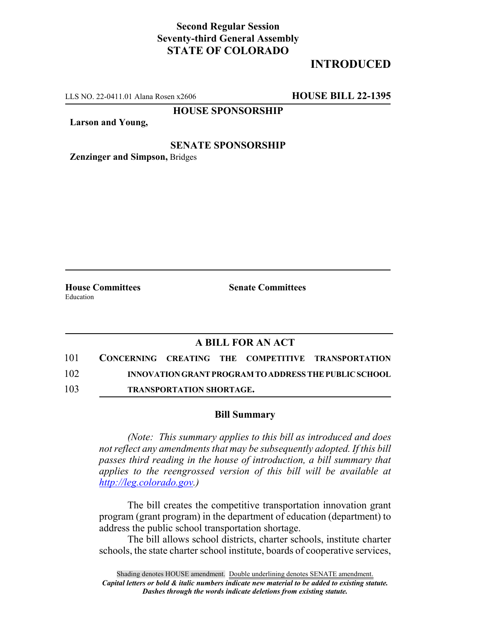## **Second Regular Session Seventy-third General Assembly STATE OF COLORADO**

# **INTRODUCED**

LLS NO. 22-0411.01 Alana Rosen x2606 **HOUSE BILL 22-1395**

**HOUSE SPONSORSHIP**

**Larson and Young,**

#### **SENATE SPONSORSHIP**

**Zenzinger and Simpson,** Bridges

**House Committees Senate Committees** Education

### **A BILL FOR AN ACT**

- 101 **CONCERNING CREATING THE COMPETITIVE TRANSPORTATION** 102 **INNOVATION GRANT PROGRAM TO ADDRESS THE PUBLIC SCHOOL**
- 103 **TRANSPORTATION SHORTAGE.**

#### **Bill Summary**

*(Note: This summary applies to this bill as introduced and does not reflect any amendments that may be subsequently adopted. If this bill passes third reading in the house of introduction, a bill summary that applies to the reengrossed version of this bill will be available at http://leg.colorado.gov.)*

The bill creates the competitive transportation innovation grant program (grant program) in the department of education (department) to address the public school transportation shortage.

The bill allows school districts, charter schools, institute charter schools, the state charter school institute, boards of cooperative services,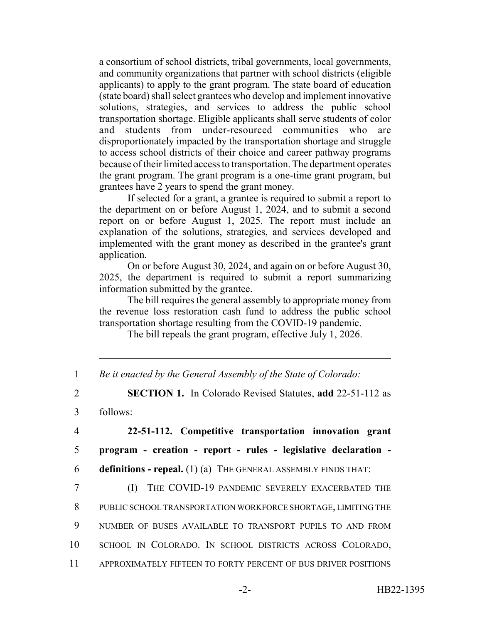a consortium of school districts, tribal governments, local governments, and community organizations that partner with school districts (eligible applicants) to apply to the grant program. The state board of education (state board) shall select grantees who develop and implement innovative solutions, strategies, and services to address the public school transportation shortage. Eligible applicants shall serve students of color and students from under-resourced communities who are disproportionately impacted by the transportation shortage and struggle to access school districts of their choice and career pathway programs because of their limited access to transportation. The department operates the grant program. The grant program is a one-time grant program, but grantees have 2 years to spend the grant money.

If selected for a grant, a grantee is required to submit a report to the department on or before August 1, 2024, and to submit a second report on or before August 1, 2025. The report must include an explanation of the solutions, strategies, and services developed and implemented with the grant money as described in the grantee's grant application.

On or before August 30, 2024, and again on or before August 30, 2025, the department is required to submit a report summarizing information submitted by the grantee.

The bill requires the general assembly to appropriate money from the revenue loss restoration cash fund to address the public school transportation shortage resulting from the COVID-19 pandemic.

The bill repeals the grant program, effective July 1, 2026.

| Be it enacted by the General Assembly of the State of Colorado: |  |  |  |
|-----------------------------------------------------------------|--|--|--|
|                                                                 |  |  |  |

2 **SECTION 1.** In Colorado Revised Statutes, **add** 22-51-112 as

3 follows:

4 **22-51-112. Competitive transportation innovation grant** 5 **program - creation - report - rules - legislative declaration -** 6 **definitions - repeal.** (1) (a) THE GENERAL ASSEMBLY FINDS THAT:

 (I) THE COVID-19 PANDEMIC SEVERELY EXACERBATED THE PUBLIC SCHOOL TRANSPORTATION WORKFORCE SHORTAGE, LIMITING THE NUMBER OF BUSES AVAILABLE TO TRANSPORT PUPILS TO AND FROM SCHOOL IN COLORADO. IN SCHOOL DISTRICTS ACROSS COLORADO, APPROXIMATELY FIFTEEN TO FORTY PERCENT OF BUS DRIVER POSITIONS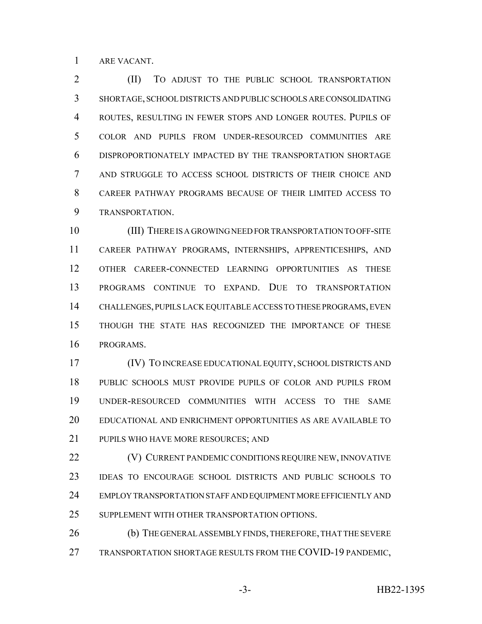ARE VACANT.

 (II) TO ADJUST TO THE PUBLIC SCHOOL TRANSPORTATION SHORTAGE, SCHOOL DISTRICTS AND PUBLIC SCHOOLS ARE CONSOLIDATING ROUTES, RESULTING IN FEWER STOPS AND LONGER ROUTES. PUPILS OF COLOR AND PUPILS FROM UNDER-RESOURCED COMMUNITIES ARE DISPROPORTIONATELY IMPACTED BY THE TRANSPORTATION SHORTAGE AND STRUGGLE TO ACCESS SCHOOL DISTRICTS OF THEIR CHOICE AND CAREER PATHWAY PROGRAMS BECAUSE OF THEIR LIMITED ACCESS TO TRANSPORTATION.

 (III) THERE IS A GROWING NEED FOR TRANSPORTATION TO OFF-SITE CAREER PATHWAY PROGRAMS, INTERNSHIPS, APPRENTICESHIPS, AND OTHER CAREER-CONNECTED LEARNING OPPORTUNITIES AS THESE PROGRAMS CONTINUE TO EXPAND. DUE TO TRANSPORTATION CHALLENGES, PUPILS LACK EQUITABLE ACCESS TO THESE PROGRAMS, EVEN THOUGH THE STATE HAS RECOGNIZED THE IMPORTANCE OF THESE PROGRAMS.

 (IV) TO INCREASE EDUCATIONAL EQUITY, SCHOOL DISTRICTS AND PUBLIC SCHOOLS MUST PROVIDE PUPILS OF COLOR AND PUPILS FROM UNDER-RESOURCED COMMUNITIES WITH ACCESS TO THE SAME EDUCATIONAL AND ENRICHMENT OPPORTUNITIES AS ARE AVAILABLE TO PUPILS WHO HAVE MORE RESOURCES; AND

**(V) CURRENT PANDEMIC CONDITIONS REQUIRE NEW, INNOVATIVE**  IDEAS TO ENCOURAGE SCHOOL DISTRICTS AND PUBLIC SCHOOLS TO EMPLOY TRANSPORTATION STAFF AND EQUIPMENT MORE EFFICIENTLY AND SUPPLEMENT WITH OTHER TRANSPORTATION OPTIONS.

 (b) THE GENERAL ASSEMBLY FINDS, THEREFORE, THAT THE SEVERE 27 TRANSPORTATION SHORTAGE RESULTS FROM THE COVID-19 PANDEMIC,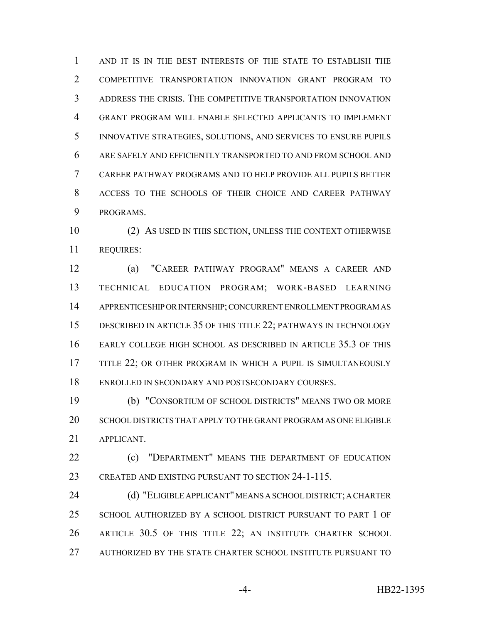AND IT IS IN THE BEST INTERESTS OF THE STATE TO ESTABLISH THE COMPETITIVE TRANSPORTATION INNOVATION GRANT PROGRAM TO ADDRESS THE CRISIS. THE COMPETITIVE TRANSPORTATION INNOVATION GRANT PROGRAM WILL ENABLE SELECTED APPLICANTS TO IMPLEMENT INNOVATIVE STRATEGIES, SOLUTIONS, AND SERVICES TO ENSURE PUPILS ARE SAFELY AND EFFICIENTLY TRANSPORTED TO AND FROM SCHOOL AND CAREER PATHWAY PROGRAMS AND TO HELP PROVIDE ALL PUPILS BETTER ACCESS TO THE SCHOOLS OF THEIR CHOICE AND CAREER PATHWAY PROGRAMS.

 (2) AS USED IN THIS SECTION, UNLESS THE CONTEXT OTHERWISE REQUIRES:

 (a) "CAREER PATHWAY PROGRAM" MEANS A CAREER AND TECHNICAL EDUCATION PROGRAM; WORK-BASED LEARNING APPRENTICESHIP OR INTERNSHIP; CONCURRENT ENROLLMENT PROGRAM AS DESCRIBED IN ARTICLE 35 OF THIS TITLE 22; PATHWAYS IN TECHNOLOGY EARLY COLLEGE HIGH SCHOOL AS DESCRIBED IN ARTICLE 35.3 OF THIS TITLE 22; OR OTHER PROGRAM IN WHICH A PUPIL IS SIMULTANEOUSLY ENROLLED IN SECONDARY AND POSTSECONDARY COURSES.

 (b) "CONSORTIUM OF SCHOOL DISTRICTS" MEANS TWO OR MORE SCHOOL DISTRICTS THAT APPLY TO THE GRANT PROGRAM AS ONE ELIGIBLE APPLICANT.

**(c)** "DEPARTMENT" MEANS THE DEPARTMENT OF EDUCATION CREATED AND EXISTING PURSUANT TO SECTION 24-1-115.

 (d) "ELIGIBLE APPLICANT" MEANS A SCHOOL DISTRICT; A CHARTER SCHOOL AUTHORIZED BY A SCHOOL DISTRICT PURSUANT TO PART 1 OF ARTICLE 30.5 OF THIS TITLE 22; AN INSTITUTE CHARTER SCHOOL AUTHORIZED BY THE STATE CHARTER SCHOOL INSTITUTE PURSUANT TO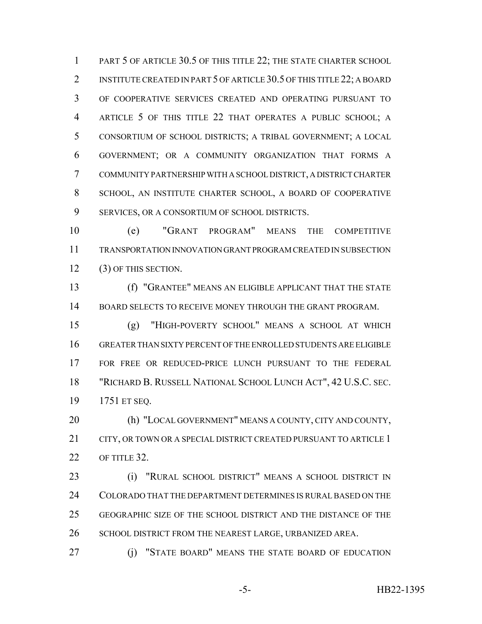1 PART 5 OF ARTICLE 30.5 OF THIS TITLE 22; THE STATE CHARTER SCHOOL 2 INSTITUTE CREATED IN PART 5 OF ARTICLE 30.5 OF THIS TITLE 22; A BOARD OF COOPERATIVE SERVICES CREATED AND OPERATING PURSUANT TO ARTICLE 5 OF THIS TITLE 22 THAT OPERATES A PUBLIC SCHOOL; A CONSORTIUM OF SCHOOL DISTRICTS; A TRIBAL GOVERNMENT; A LOCAL GOVERNMENT; OR A COMMUNITY ORGANIZATION THAT FORMS A COMMUNITY PARTNERSHIP WITH A SCHOOL DISTRICT, A DISTRICT CHARTER SCHOOL, AN INSTITUTE CHARTER SCHOOL, A BOARD OF COOPERATIVE SERVICES, OR A CONSORTIUM OF SCHOOL DISTRICTS.

 (e) "GRANT PROGRAM" MEANS THE COMPETITIVE TRANSPORTATION INNOVATION GRANT PROGRAM CREATED IN SUBSECTION (3) OF THIS SECTION.

 (f) "GRANTEE" MEANS AN ELIGIBLE APPLICANT THAT THE STATE 14 BOARD SELECTS TO RECEIVE MONEY THROUGH THE GRANT PROGRAM.

 (g) "HIGH-POVERTY SCHOOL" MEANS A SCHOOL AT WHICH GREATER THAN SIXTY PERCENT OF THE ENROLLED STUDENTS ARE ELIGIBLE FOR FREE OR REDUCED-PRICE LUNCH PURSUANT TO THE FEDERAL "RICHARD B. RUSSELL NATIONAL SCHOOL LUNCH ACT", 42 U.S.C. SEC. 1751 ET SEQ.

 (h) "LOCAL GOVERNMENT" MEANS A COUNTY, CITY AND COUNTY, 21 CITY, OR TOWN OR A SPECIAL DISTRICT CREATED PURSUANT TO ARTICLE 1 OF TITLE 32.

 (i) "RURAL SCHOOL DISTRICT" MEANS A SCHOOL DISTRICT IN COLORADO THAT THE DEPARTMENT DETERMINES IS RURAL BASED ON THE GEOGRAPHIC SIZE OF THE SCHOOL DISTRICT AND THE DISTANCE OF THE 26 SCHOOL DISTRICT FROM THE NEAREST LARGE, URBANIZED AREA.

(j) "STATE BOARD" MEANS THE STATE BOARD OF EDUCATION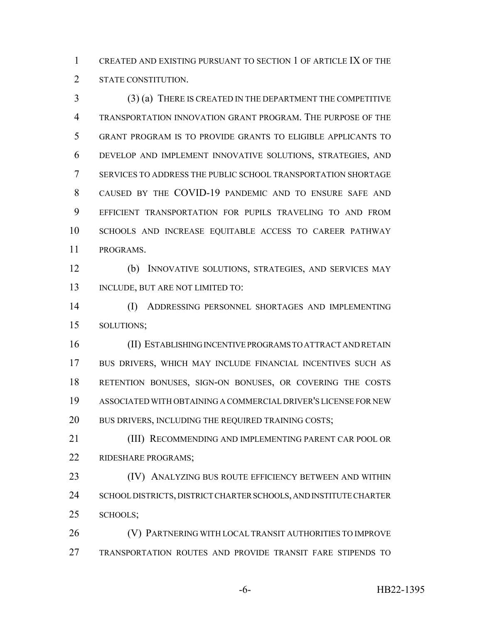CREATED AND EXISTING PURSUANT TO SECTION 1 OF ARTICLE IX OF THE STATE CONSTITUTION.

 (3) (a) THERE IS CREATED IN THE DEPARTMENT THE COMPETITIVE TRANSPORTATION INNOVATION GRANT PROGRAM. THE PURPOSE OF THE GRANT PROGRAM IS TO PROVIDE GRANTS TO ELIGIBLE APPLICANTS TO DEVELOP AND IMPLEMENT INNOVATIVE SOLUTIONS, STRATEGIES, AND SERVICES TO ADDRESS THE PUBLIC SCHOOL TRANSPORTATION SHORTAGE CAUSED BY THE COVID-19 PANDEMIC AND TO ENSURE SAFE AND EFFICIENT TRANSPORTATION FOR PUPILS TRAVELING TO AND FROM SCHOOLS AND INCREASE EQUITABLE ACCESS TO CAREER PATHWAY PROGRAMS.

 (b) INNOVATIVE SOLUTIONS, STRATEGIES, AND SERVICES MAY 13 INCLUDE, BUT ARE NOT LIMITED TO:

 (I) ADDRESSING PERSONNEL SHORTAGES AND IMPLEMENTING SOLUTIONS;

 (II) ESTABLISHING INCENTIVE PROGRAMS TO ATTRACT AND RETAIN BUS DRIVERS, WHICH MAY INCLUDE FINANCIAL INCENTIVES SUCH AS RETENTION BONUSES, SIGN-ON BONUSES, OR COVERING THE COSTS ASSOCIATED WITH OBTAINING A COMMERCIAL DRIVER'S LICENSE FOR NEW 20 BUS DRIVERS, INCLUDING THE REQUIRED TRAINING COSTS;

 (III) RECOMMENDING AND IMPLEMENTING PARENT CAR POOL OR RIDESHARE PROGRAMS;

**(IV) ANALYZING BUS ROUTE EFFICIENCY BETWEEN AND WITHIN**  SCHOOL DISTRICTS, DISTRICT CHARTER SCHOOLS, AND INSTITUTE CHARTER SCHOOLS;

 (V) PARTNERING WITH LOCAL TRANSIT AUTHORITIES TO IMPROVE TRANSPORTATION ROUTES AND PROVIDE TRANSIT FARE STIPENDS TO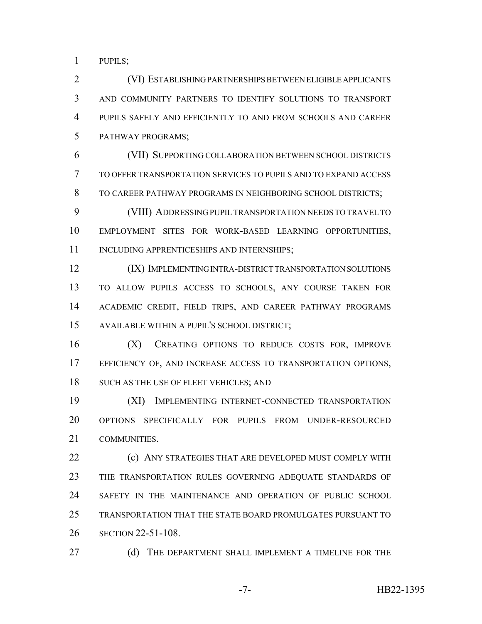PUPILS;

 (VI) ESTABLISHING PARTNERSHIPS BETWEEN ELIGIBLE APPLICANTS AND COMMUNITY PARTNERS TO IDENTIFY SOLUTIONS TO TRANSPORT PUPILS SAFELY AND EFFICIENTLY TO AND FROM SCHOOLS AND CAREER PATHWAY PROGRAMS;

 (VII) SUPPORTING COLLABORATION BETWEEN SCHOOL DISTRICTS TO OFFER TRANSPORTATION SERVICES TO PUPILS AND TO EXPAND ACCESS TO CAREER PATHWAY PROGRAMS IN NEIGHBORING SCHOOL DISTRICTS;

 (VIII) ADDRESSING PUPIL TRANSPORTATION NEEDS TO TRAVEL TO EMPLOYMENT SITES FOR WORK-BASED LEARNING OPPORTUNITIES, 11 INCLUDING APPRENTICESHIPS AND INTERNSHIPS;

 (IX) IMPLEMENTING INTRA-DISTRICT TRANSPORTATION SOLUTIONS TO ALLOW PUPILS ACCESS TO SCHOOLS, ANY COURSE TAKEN FOR ACADEMIC CREDIT, FIELD TRIPS, AND CAREER PATHWAY PROGRAMS AVAILABLE WITHIN A PUPIL'S SCHOOL DISTRICT;

 (X) CREATING OPTIONS TO REDUCE COSTS FOR, IMPROVE EFFICIENCY OF, AND INCREASE ACCESS TO TRANSPORTATION OPTIONS, 18 SUCH AS THE USE OF FLEET VEHICLES; AND

 (XI) IMPLEMENTING INTERNET-CONNECTED TRANSPORTATION OPTIONS SPECIFICALLY FOR PUPILS FROM UNDER-RESOURCED COMMUNITIES.

**(c) ANY STRATEGIES THAT ARE DEVELOPED MUST COMPLY WITH**  THE TRANSPORTATION RULES GOVERNING ADEQUATE STANDARDS OF SAFETY IN THE MAINTENANCE AND OPERATION OF PUBLIC SCHOOL TRANSPORTATION THAT THE STATE BOARD PROMULGATES PURSUANT TO SECTION 22-51-108.

27 (d) THE DEPARTMENT SHALL IMPLEMENT A TIMELINE FOR THE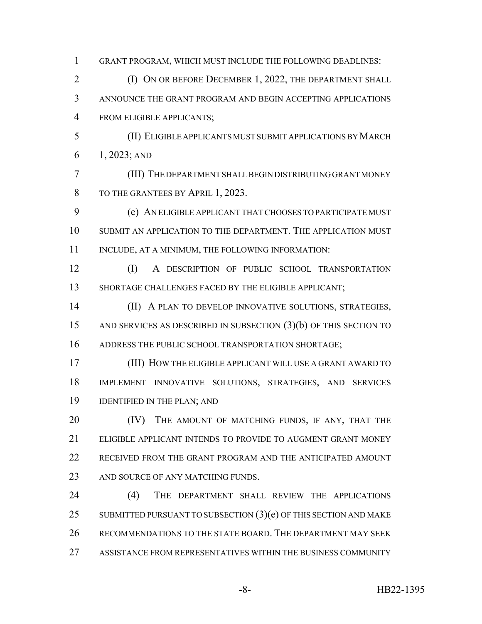GRANT PROGRAM, WHICH MUST INCLUDE THE FOLLOWING DEADLINES: **(I) ON OR BEFORE DECEMBER 1, 2022, THE DEPARTMENT SHALL**  ANNOUNCE THE GRANT PROGRAM AND BEGIN ACCEPTING APPLICATIONS FROM ELIGIBLE APPLICANTS; (II) ELIGIBLE APPLICANTS MUST SUBMIT APPLICATIONS BY MARCH 1, 2023; AND (III) THE DEPARTMENT SHALL BEGIN DISTRIBUTING GRANT MONEY 8 TO THE GRANTEES BY APRIL 1, 2023. (e) AN ELIGIBLE APPLICANT THAT CHOOSES TO PARTICIPATE MUST SUBMIT AN APPLICATION TO THE DEPARTMENT. THE APPLICATION MUST 11 INCLUDE, AT A MINIMUM, THE FOLLOWING INFORMATION: (I) A DESCRIPTION OF PUBLIC SCHOOL TRANSPORTATION SHORTAGE CHALLENGES FACED BY THE ELIGIBLE APPLICANT; (II) A PLAN TO DEVELOP INNOVATIVE SOLUTIONS, STRATEGIES, AND SERVICES AS DESCRIBED IN SUBSECTION (3)(b) OF THIS SECTION TO ADDRESS THE PUBLIC SCHOOL TRANSPORTATION SHORTAGE; (III) HOW THE ELIGIBLE APPLICANT WILL USE A GRANT AWARD TO IMPLEMENT INNOVATIVE SOLUTIONS, STRATEGIES, AND SERVICES IDENTIFIED IN THE PLAN; AND 20 (IV) THE AMOUNT OF MATCHING FUNDS, IF ANY, THAT THE ELIGIBLE APPLICANT INTENDS TO PROVIDE TO AUGMENT GRANT MONEY RECEIVED FROM THE GRANT PROGRAM AND THE ANTICIPATED AMOUNT 23 AND SOURCE OF ANY MATCHING FUNDS. (4) THE DEPARTMENT SHALL REVIEW THE APPLICATIONS 25 SUBMITTED PURSUANT TO SUBSECTION  $(3)(e)$  OF THIS SECTION AND MAKE RECOMMENDATIONS TO THE STATE BOARD. THE DEPARTMENT MAY SEEK ASSISTANCE FROM REPRESENTATIVES WITHIN THE BUSINESS COMMUNITY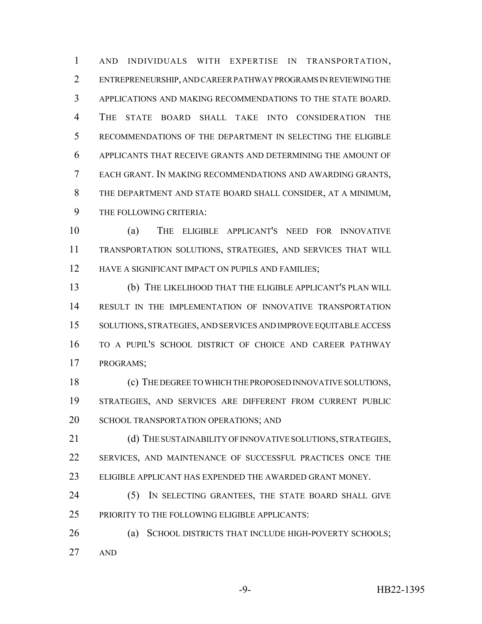AND INDIVIDUALS WITH EXPERTISE IN TRANSPORTATION, ENTREPRENEURSHIP, AND CAREER PATHWAY PROGRAMS IN REVIEWING THE APPLICATIONS AND MAKING RECOMMENDATIONS TO THE STATE BOARD. THE STATE BOARD SHALL TAKE INTO CONSIDERATION THE RECOMMENDATIONS OF THE DEPARTMENT IN SELECTING THE ELIGIBLE APPLICANTS THAT RECEIVE GRANTS AND DETERMINING THE AMOUNT OF EACH GRANT. IN MAKING RECOMMENDATIONS AND AWARDING GRANTS, THE DEPARTMENT AND STATE BOARD SHALL CONSIDER, AT A MINIMUM, THE FOLLOWING CRITERIA:

 (a) THE ELIGIBLE APPLICANT'S NEED FOR INNOVATIVE TRANSPORTATION SOLUTIONS, STRATEGIES, AND SERVICES THAT WILL 12 HAVE A SIGNIFICANT IMPACT ON PUPILS AND FAMILIES;

 (b) THE LIKELIHOOD THAT THE ELIGIBLE APPLICANT'S PLAN WILL RESULT IN THE IMPLEMENTATION OF INNOVATIVE TRANSPORTATION SOLUTIONS, STRATEGIES, AND SERVICES AND IMPROVE EQUITABLE ACCESS TO A PUPIL'S SCHOOL DISTRICT OF CHOICE AND CAREER PATHWAY PROGRAMS;

 (c) THE DEGREE TO WHICH THE PROPOSED INNOVATIVE SOLUTIONS, STRATEGIES, AND SERVICES ARE DIFFERENT FROM CURRENT PUBLIC 20 SCHOOL TRANSPORTATION OPERATIONS; AND

21 (d) THE SUSTAINABILITY OF INNOVATIVE SOLUTIONS, STRATEGIES, SERVICES, AND MAINTENANCE OF SUCCESSFUL PRACTICES ONCE THE ELIGIBLE APPLICANT HAS EXPENDED THE AWARDED GRANT MONEY.

24 (5) IN SELECTING GRANTEES, THE STATE BOARD SHALL GIVE PRIORITY TO THE FOLLOWING ELIGIBLE APPLICANTS:

26 (a) SCHOOL DISTRICTS THAT INCLUDE HIGH-POVERTY SCHOOLS; AND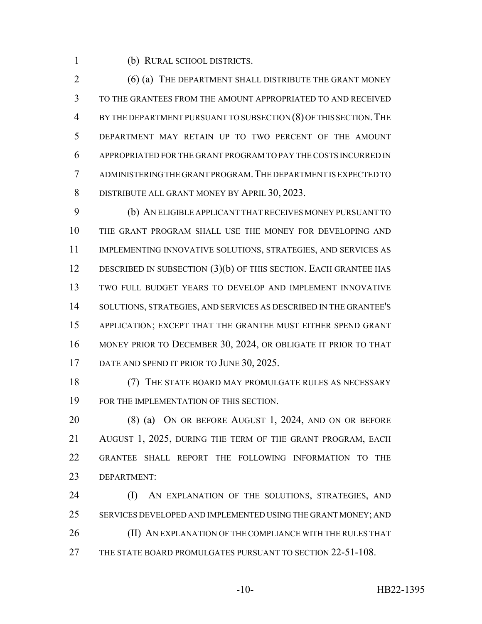(b) RURAL SCHOOL DISTRICTS.

2 (6) (a) THE DEPARTMENT SHALL DISTRIBUTE THE GRANT MONEY TO THE GRANTEES FROM THE AMOUNT APPROPRIATED TO AND RECEIVED 4 BY THE DEPARTMENT PURSUANT TO SUBSECTION (8) OF THIS SECTION. THE DEPARTMENT MAY RETAIN UP TO TWO PERCENT OF THE AMOUNT APPROPRIATED FOR THE GRANT PROGRAM TO PAY THE COSTS INCURRED IN ADMINISTERING THE GRANT PROGRAM.THE DEPARTMENT IS EXPECTED TO DISTRIBUTE ALL GRANT MONEY BY APRIL 30, 2023.

 (b) AN ELIGIBLE APPLICANT THAT RECEIVES MONEY PURSUANT TO THE GRANT PROGRAM SHALL USE THE MONEY FOR DEVELOPING AND IMPLEMENTING INNOVATIVE SOLUTIONS, STRATEGIES, AND SERVICES AS 12 DESCRIBED IN SUBSECTION (3)(b) OF THIS SECTION. EACH GRANTEE HAS TWO FULL BUDGET YEARS TO DEVELOP AND IMPLEMENT INNOVATIVE SOLUTIONS, STRATEGIES, AND SERVICES AS DESCRIBED IN THE GRANTEE'S APPLICATION; EXCEPT THAT THE GRANTEE MUST EITHER SPEND GRANT MONEY PRIOR TO DECEMBER 30, 2024, OR OBLIGATE IT PRIOR TO THAT 17 DATE AND SPEND IT PRIOR TO JUNE 30, 2025.

18 (7) THE STATE BOARD MAY PROMULGATE RULES AS NECESSARY FOR THE IMPLEMENTATION OF THIS SECTION.

 (8) (a) ON OR BEFORE AUGUST 1, 2024, AND ON OR BEFORE AUGUST 1, 2025, DURING THE TERM OF THE GRANT PROGRAM, EACH GRANTEE SHALL REPORT THE FOLLOWING INFORMATION TO THE DEPARTMENT:

24 (I) AN EXPLANATION OF THE SOLUTIONS, STRATEGIES, AND SERVICES DEVELOPED AND IMPLEMENTED USING THE GRANT MONEY; AND 26 (II) AN EXPLANATION OF THE COMPLIANCE WITH THE RULES THAT THE STATE BOARD PROMULGATES PURSUANT TO SECTION 22-51-108.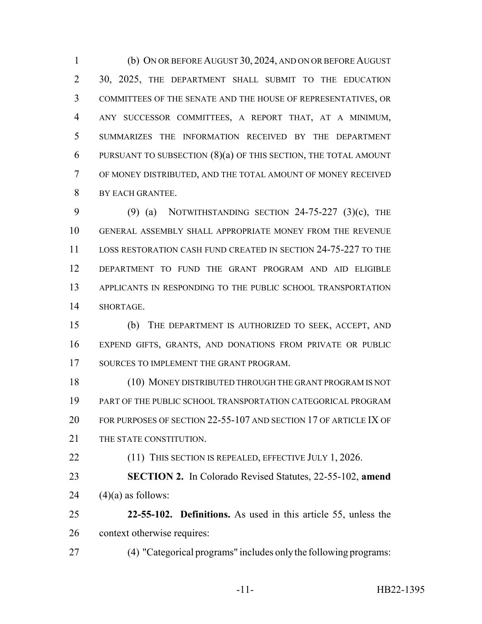(b) ON OR BEFORE AUGUST 30, 2024, AND ON OR BEFORE AUGUST 30, 2025, THE DEPARTMENT SHALL SUBMIT TO THE EDUCATION COMMITTEES OF THE SENATE AND THE HOUSE OF REPRESENTATIVES, OR ANY SUCCESSOR COMMITTEES, A REPORT THAT, AT A MINIMUM, SUMMARIZES THE INFORMATION RECEIVED BY THE DEPARTMENT PURSUANT TO SUBSECTION (8)(a) OF THIS SECTION, THE TOTAL AMOUNT OF MONEY DISTRIBUTED, AND THE TOTAL AMOUNT OF MONEY RECEIVED BY EACH GRANTEE.

 (9) (a) NOTWITHSTANDING SECTION 24-75-227 (3)(c), THE GENERAL ASSEMBLY SHALL APPROPRIATE MONEY FROM THE REVENUE LOSS RESTORATION CASH FUND CREATED IN SECTION 24-75-227 TO THE DEPARTMENT TO FUND THE GRANT PROGRAM AND AID ELIGIBLE APPLICANTS IN RESPONDING TO THE PUBLIC SCHOOL TRANSPORTATION SHORTAGE.

 (b) THE DEPARTMENT IS AUTHORIZED TO SEEK, ACCEPT, AND EXPEND GIFTS, GRANTS, AND DONATIONS FROM PRIVATE OR PUBLIC 17 SOURCES TO IMPLEMENT THE GRANT PROGRAM.

 (10) MONEY DISTRIBUTED THROUGH THE GRANT PROGRAM IS NOT PART OF THE PUBLIC SCHOOL TRANSPORTATION CATEGORICAL PROGRAM FOR PURPOSES OF SECTION 22-55-107 AND SECTION 17 OF ARTICLE IX OF 21 THE STATE CONSTITUTION.

22 (11) THIS SECTION IS REPEALED, EFFECTIVE JULY 1, 2026.

 **SECTION 2.** In Colorado Revised Statutes, 22-55-102, **amend** 24  $(4)(a)$  as follows:

 **22-55-102. Definitions.** As used in this article 55, unless the context otherwise requires:

(4) "Categorical programs" includes only the following programs: